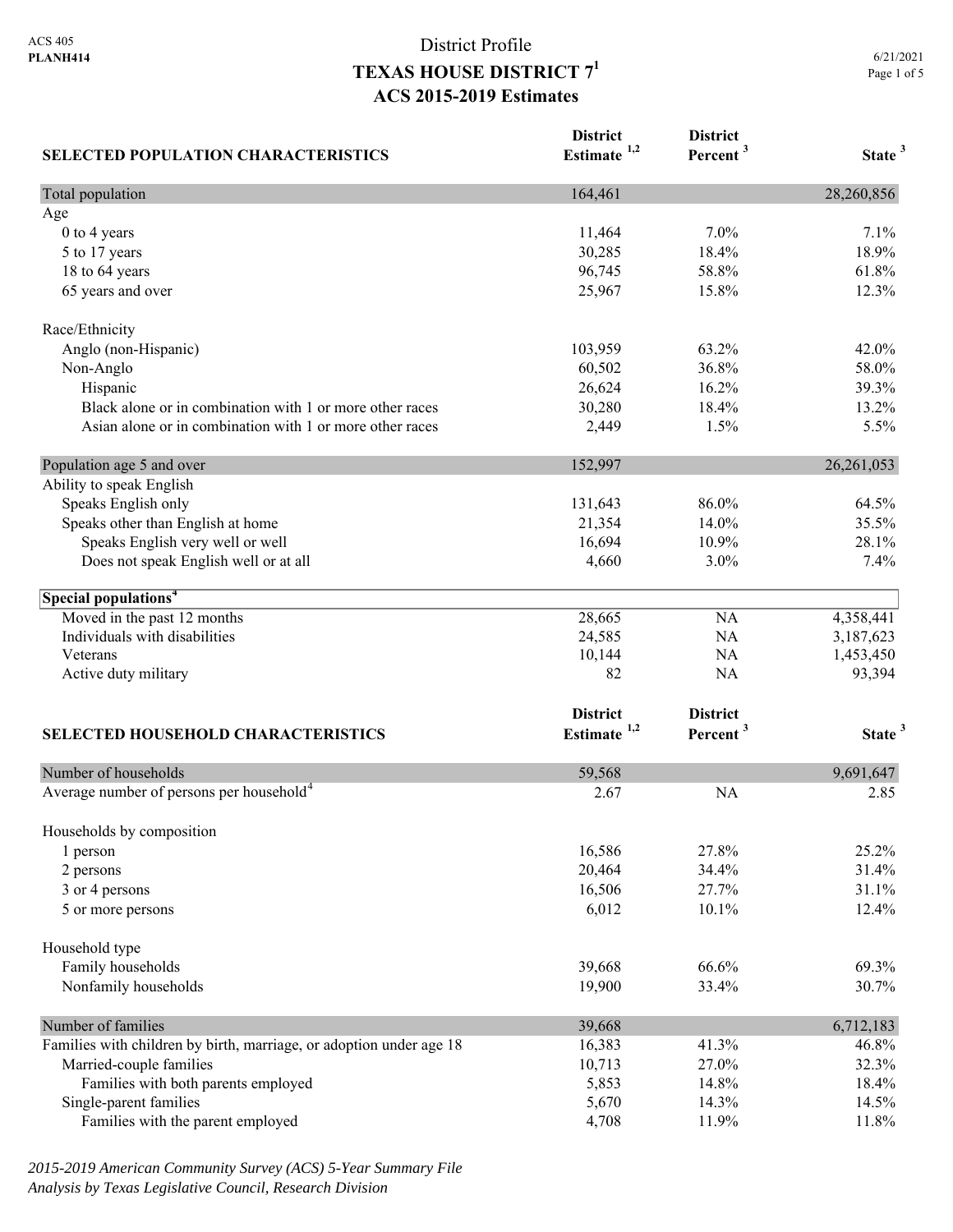|             | 6/21/2021 |
|-------------|-----------|
| Page 1 of 5 |           |

| <b>SELECTED POPULATION CHARACTERISTICS</b>                          | <b>District</b><br>Estimate <sup>1,2</sup> | <b>District</b><br>Percent <sup>3</sup> | State <sup>3</sup> |
|---------------------------------------------------------------------|--------------------------------------------|-----------------------------------------|--------------------|
| Total population                                                    | 164,461                                    |                                         | 28,260,856         |
| Age                                                                 |                                            |                                         |                    |
| 0 to 4 years                                                        | 11,464                                     | 7.0%                                    | 7.1%               |
| 5 to 17 years                                                       | 30,285                                     | 18.4%                                   | 18.9%              |
| 18 to 64 years                                                      | 96,745                                     | 58.8%                                   | 61.8%              |
| 65 years and over                                                   | 25,967                                     | 15.8%                                   | 12.3%              |
| Race/Ethnicity                                                      |                                            |                                         |                    |
| Anglo (non-Hispanic)                                                | 103,959                                    | 63.2%                                   | 42.0%              |
| Non-Anglo                                                           | 60,502                                     | 36.8%                                   | 58.0%              |
| Hispanic                                                            | 26,624                                     | 16.2%                                   | 39.3%              |
| Black alone or in combination with 1 or more other races            | 30,280                                     | 18.4%                                   | 13.2%              |
| Asian alone or in combination with 1 or more other races            | 2,449                                      | 1.5%                                    | 5.5%               |
| Population age 5 and over                                           | 152,997                                    |                                         | 26, 261, 053       |
| Ability to speak English                                            |                                            |                                         |                    |
| Speaks English only                                                 | 131,643                                    | 86.0%                                   | 64.5%              |
| Speaks other than English at home                                   | 21,354                                     | 14.0%                                   | 35.5%              |
| Speaks English very well or well                                    | 16,694                                     | 10.9%                                   | 28.1%              |
| Does not speak English well or at all                               | 4,660                                      | 3.0%                                    | 7.4%               |
| Special populations <sup>4</sup>                                    |                                            |                                         |                    |
| Moved in the past 12 months                                         | 28,665                                     | NA                                      | 4,358,441          |
| Individuals with disabilities                                       | 24,585                                     | NA                                      | 3,187,623          |
| Veterans                                                            | 10,144                                     | NA                                      | 1,453,450          |
| Active duty military                                                | 82                                         | NA                                      | 93,394             |
|                                                                     | <b>District</b>                            | <b>District</b>                         |                    |
| <b>SELECTED HOUSEHOLD CHARACTERISTICS</b>                           | Estimate $1,2$                             | Percent <sup>3</sup>                    | State <sup>3</sup> |
| Number of households                                                | 59,568                                     |                                         | 9,691,647          |
| Average number of persons per household <sup>4</sup>                | 2.67                                       | <b>NA</b>                               | 2.85               |
| Households by composition                                           |                                            |                                         |                    |
| 1 person                                                            | 16,586                                     | 27.8%                                   | 25.2%              |
| 2 persons                                                           | 20,464                                     | 34.4%                                   | 31.4%              |
| 3 or 4 persons                                                      | 16,506                                     | 27.7%                                   | 31.1%              |
| 5 or more persons                                                   | 6,012                                      | 10.1%                                   | 12.4%              |
| Household type                                                      |                                            |                                         |                    |
| Family households                                                   | 39,668                                     | 66.6%                                   | 69.3%              |
| Nonfamily households                                                | 19,900                                     | 33.4%                                   | 30.7%              |
| Number of families                                                  | 39,668                                     |                                         | 6,712,183          |
| Families with children by birth, marriage, or adoption under age 18 | 16,383                                     | 41.3%                                   | 46.8%              |
| Married-couple families                                             | 10,713                                     | 27.0%                                   | 32.3%              |
| Families with both parents employed                                 | 5,853                                      | 14.8%                                   | 18.4%              |
| Single-parent families                                              | 5,670                                      | 14.3%                                   | 14.5%              |
| Families with the parent employed                                   | 4,708                                      | 11.9%                                   | 11.8%              |

*2015-2019 American Community Survey (ACS) 5-Year Summary File Analysis by Texas Legislative Council, Research Division*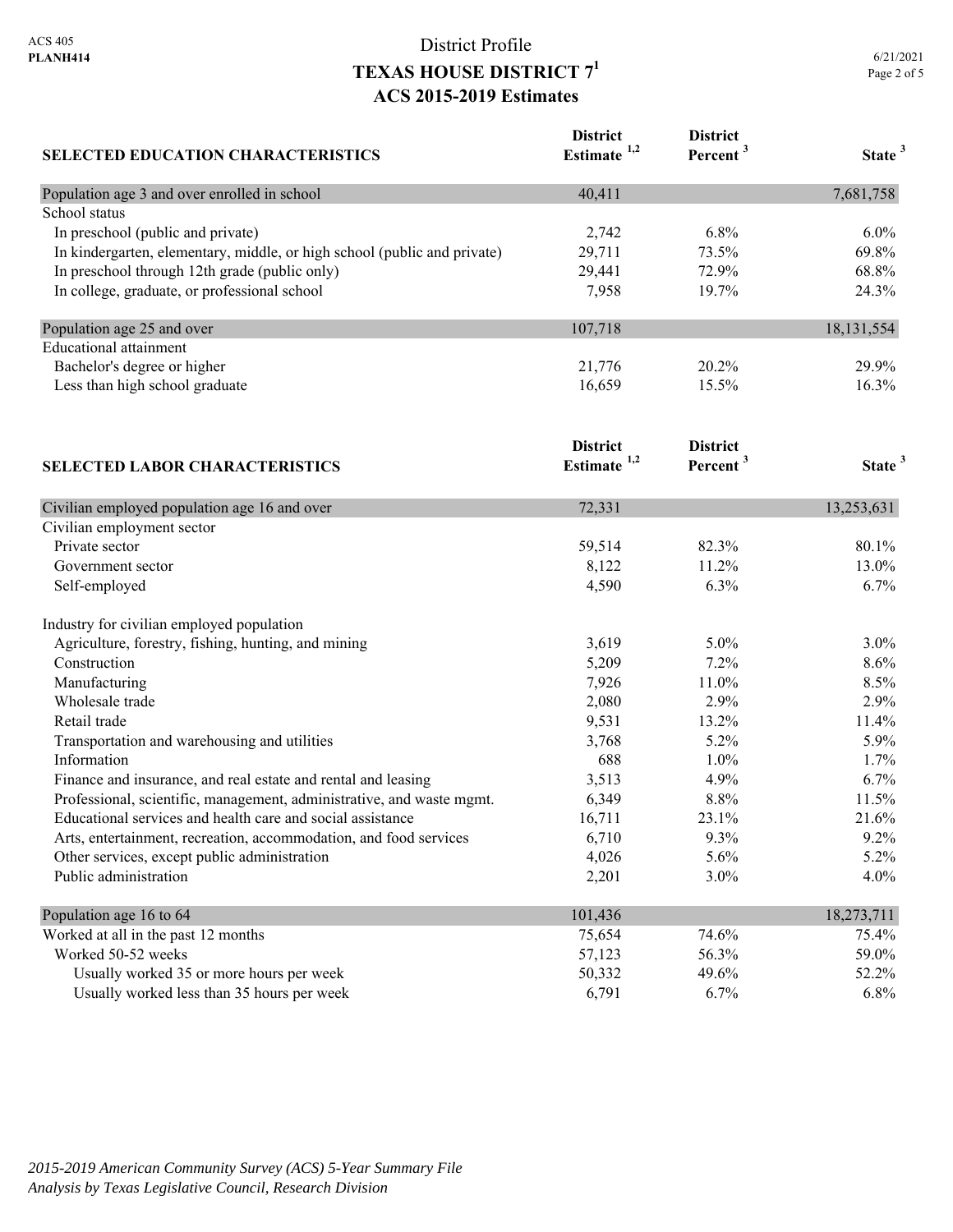| SELECTED EDUCATION CHARACTERISTICS                                       | <b>District</b><br>Estimate <sup>1,2</sup> | <b>District</b><br>Percent <sup>3</sup> | State <sup>3</sup> |
|--------------------------------------------------------------------------|--------------------------------------------|-----------------------------------------|--------------------|
| Population age 3 and over enrolled in school                             | 40,411                                     |                                         | 7,681,758          |
| School status                                                            |                                            |                                         |                    |
| In preschool (public and private)                                        | 2,742                                      | 6.8%                                    | $6.0\%$            |
| In kindergarten, elementary, middle, or high school (public and private) | 29,711                                     | 73.5%                                   | 69.8%              |
| In preschool through 12th grade (public only)                            | 29,441                                     | 72.9%                                   | 68.8%              |
| In college, graduate, or professional school                             | 7,958                                      | 19.7%                                   | 24.3%              |
| Population age 25 and over                                               | 107,718                                    |                                         | 18, 131, 554       |
| <b>Educational</b> attainment                                            |                                            |                                         |                    |
| Bachelor's degree or higher                                              | 21,776                                     | 20.2%                                   | 29.9%              |
| Less than high school graduate                                           | 16,659                                     | 15.5%                                   | 16.3%              |
|                                                                          | <b>District</b>                            | <b>District</b>                         |                    |
| <b>SELECTED LABOR CHARACTERISTICS</b>                                    | Estimate <sup>1,2</sup>                    | Percent <sup>3</sup>                    | State <sup>3</sup> |
| Civilian employed population age 16 and over                             | 72,331                                     |                                         | 13,253,631         |
| Civilian employment sector                                               |                                            |                                         |                    |
| Private sector                                                           | 59,514                                     | 82.3%                                   | 80.1%              |
| Government sector                                                        | 8,122                                      | 11.2%                                   | 13.0%              |
| Self-employed                                                            | 4,590                                      | 6.3%                                    | 6.7%               |
| Industry for civilian employed population                                |                                            |                                         |                    |
| Agriculture, forestry, fishing, hunting, and mining                      | 3,619                                      | 5.0%                                    | 3.0%               |
| Construction                                                             | 5,209                                      | 7.2%                                    | 8.6%               |
| Manufacturing                                                            | 7,926                                      | 11.0%                                   | 8.5%               |
| Wholesale trade                                                          | 2,080                                      | 2.9%                                    | 2.9%               |
| Retail trade                                                             | 9,531                                      | 13.2%                                   | 11.4%              |
| Transportation and warehousing and utilities                             | 3,768                                      | 5.2%                                    | 5.9%               |
| Information                                                              | 688                                        | 1.0%                                    | 1.7%               |
| Finance and insurance, and real estate and rental and leasing            | 3,513                                      | 4.9%                                    | 6.7%               |
| Professional, scientific, management, administrative, and waste mgmt.    | 6,349                                      | 8.8%                                    | 11.5%              |
| Educational services and health care and social assistance               | 16,711                                     | 23.1%                                   | 21.6%              |
| Arts, entertainment, recreation, accommodation, and food services        | 6,710                                      | 9.3%                                    | 9.2%               |
| Other services, except public administration                             | 4,026                                      | 5.6%                                    | 5.2%               |
| Public administration                                                    | 2,201                                      | 3.0%                                    | 4.0%               |
| Population age 16 to 64                                                  | 101,436                                    |                                         | 18,273,711         |
| Worked at all in the past 12 months                                      | 75,654                                     | 74.6%                                   | 75.4%              |
| Worked 50-52 weeks                                                       | 57,123                                     | 56.3%                                   | 59.0%              |
| Usually worked 35 or more hours per week                                 | 50,332                                     | 49.6%                                   | 52.2%              |
| Usually worked less than 35 hours per week                               | 6,791                                      | 6.7%                                    | 6.8%               |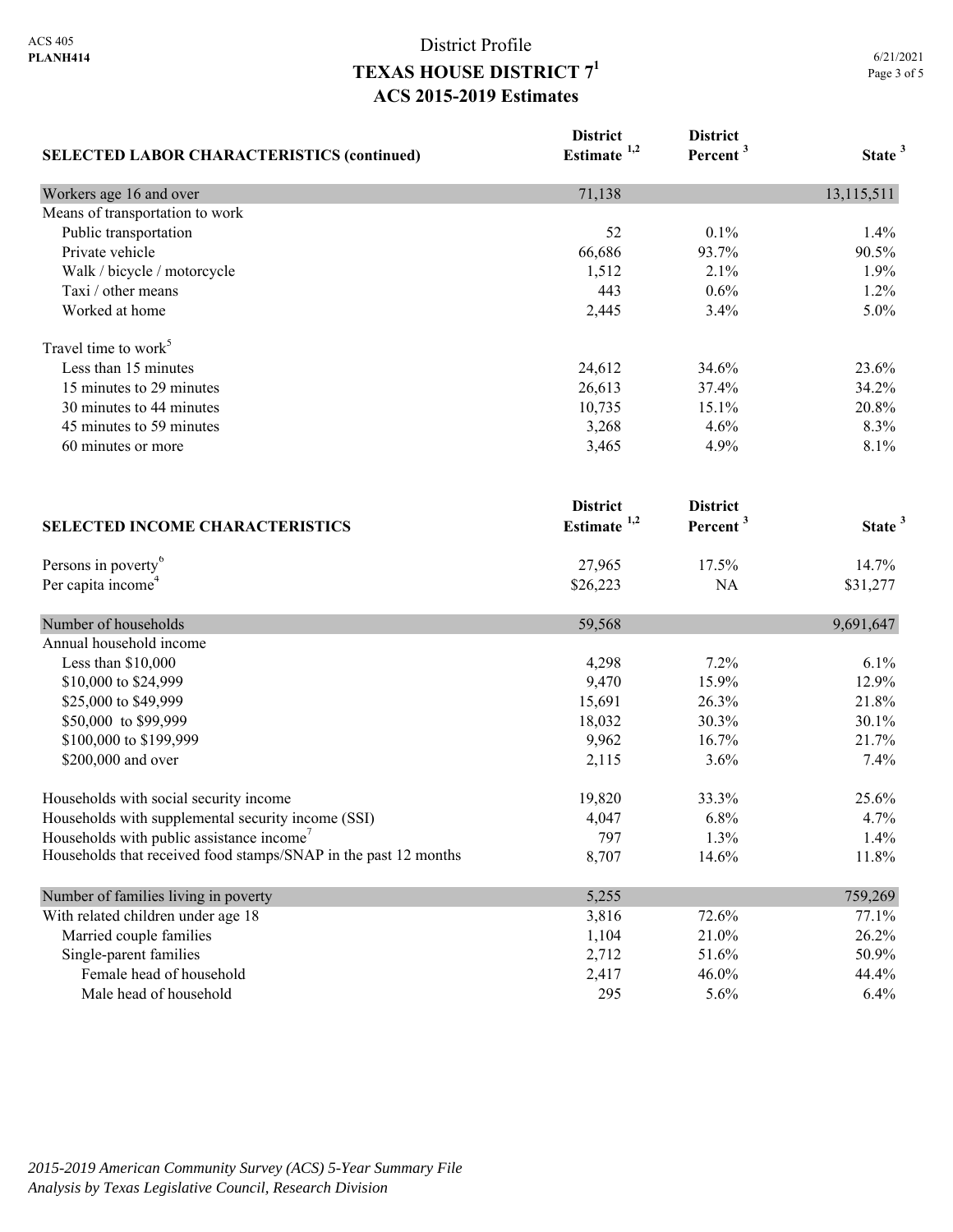| <b>SELECTED LABOR CHARACTERISTICS (continued)</b>               | <b>District</b><br>Estimate $1,2$ | <b>District</b><br>Percent <sup>3</sup> | State <sup>3</sup> |
|-----------------------------------------------------------------|-----------------------------------|-----------------------------------------|--------------------|
|                                                                 |                                   |                                         |                    |
| Workers age 16 and over                                         | 71,138                            |                                         | 13,115,511         |
| Means of transportation to work                                 |                                   |                                         |                    |
| Public transportation                                           | 52                                | 0.1%                                    | 1.4%               |
| Private vehicle                                                 | 66,686                            | 93.7%                                   | 90.5%              |
| Walk / bicycle / motorcycle                                     | 1,512                             | 2.1%                                    | 1.9%               |
| Taxi / other means                                              | 443                               | 0.6%                                    | 1.2%               |
| Worked at home                                                  | 2,445                             | 3.4%                                    | 5.0%               |
| Travel time to work <sup>5</sup>                                |                                   |                                         |                    |
| Less than 15 minutes                                            | 24,612                            | 34.6%                                   | 23.6%              |
| 15 minutes to 29 minutes                                        | 26,613                            | 37.4%                                   | 34.2%              |
| 30 minutes to 44 minutes                                        | 10,735                            | 15.1%                                   | 20.8%              |
| 45 minutes to 59 minutes                                        | 3,268                             | 4.6%                                    | 8.3%               |
| 60 minutes or more                                              | 3,465                             | 4.9%                                    | 8.1%               |
|                                                                 | <b>District</b>                   | <b>District</b>                         |                    |
| <b>SELECTED INCOME CHARACTERISTICS</b>                          | Estimate <sup>1,2</sup>           | Percent <sup>3</sup>                    | State <sup>3</sup> |
| Persons in poverty <sup>6</sup>                                 | 27,965                            | 17.5%                                   | 14.7%              |
| Per capita income <sup>4</sup>                                  | \$26,223                          | NA                                      | \$31,277           |
| Number of households                                            | 59,568                            |                                         | 9,691,647          |
| Annual household income                                         |                                   |                                         |                    |
| Less than \$10,000                                              | 4,298                             | 7.2%                                    | 6.1%               |
| \$10,000 to \$24,999                                            | 9,470                             | 15.9%                                   | 12.9%              |
| \$25,000 to \$49,999                                            | 15,691                            | 26.3%                                   | 21.8%              |
| \$50,000 to \$99,999                                            | 18,032                            | 30.3%                                   | 30.1%              |
| \$100,000 to \$199,999                                          | 9,962                             | 16.7%                                   | 21.7%              |
| \$200,000 and over                                              | 2,115                             | 3.6%                                    | 7.4%               |
| Households with social security income                          | 19,820                            | 33.3%                                   | 25.6%              |
| Households with supplemental security income (SSI)              | 4,047                             | 6.8%                                    | 4.7%               |
| Households with public assistance income'                       | 797                               | 1.3%                                    | 1.4%               |
| Households that received food stamps/SNAP in the past 12 months | 8,707                             | 14.6%                                   | 11.8%              |
| Number of families living in poverty                            | 5,255                             |                                         | 759,269            |
| With related children under age 18                              | 3,816                             | 72.6%                                   | 77.1%              |
| Married couple families                                         | 1,104                             | 21.0%                                   | 26.2%              |
| Single-parent families                                          | 2,712                             | 51.6%                                   | 50.9%              |
| Female head of household                                        | 2,417                             | 46.0%                                   | 44.4%              |
| Male head of household                                          | 295                               | 5.6%                                    | 6.4%               |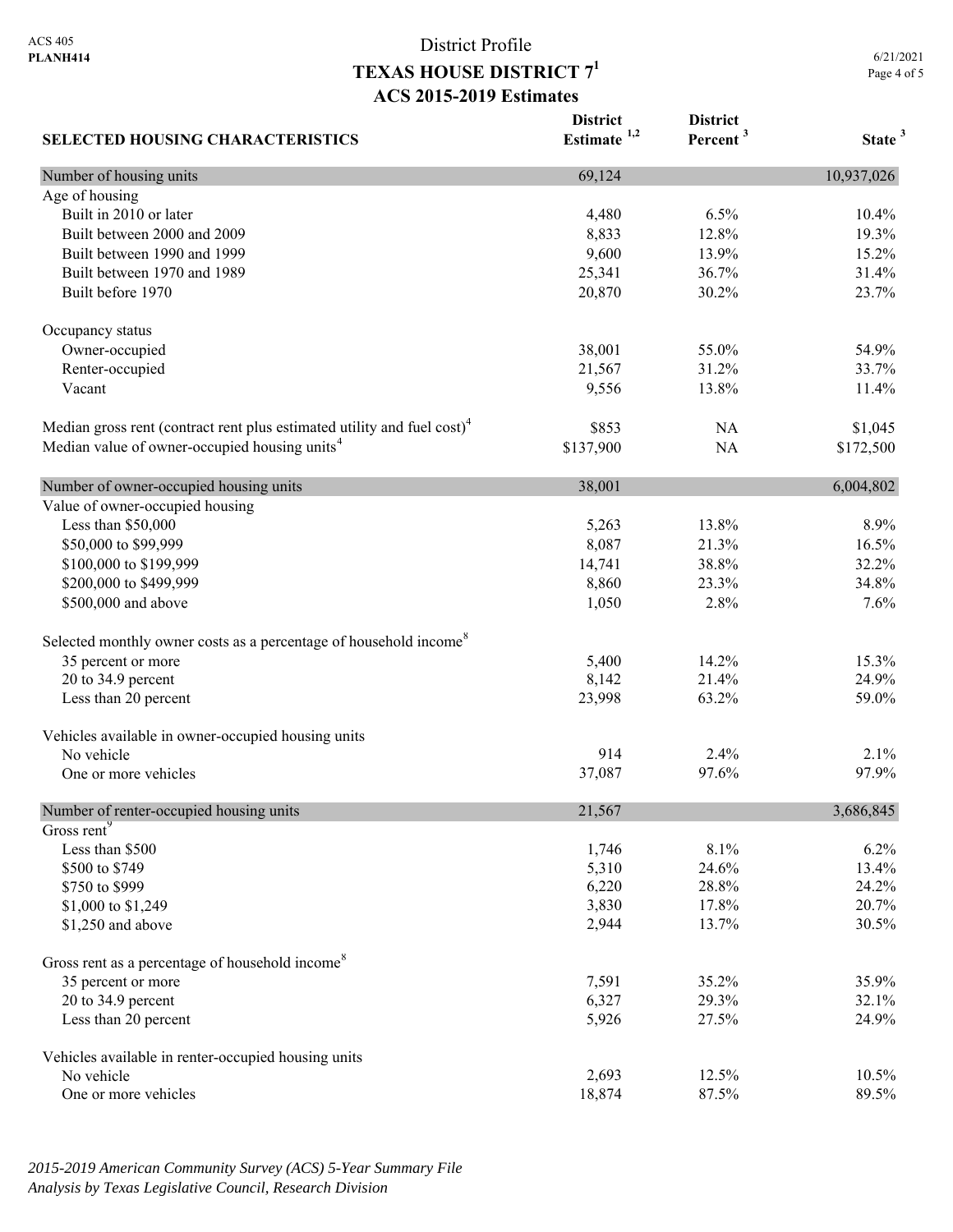6/21/2021 Page 4 of 5

| <b>SELECTED HOUSING CHARACTERISTICS</b>                                             | <b>District</b><br>Estimate $1,2$ | <b>District</b><br>Percent <sup>3</sup> | State <sup>3</sup> |
|-------------------------------------------------------------------------------------|-----------------------------------|-----------------------------------------|--------------------|
| Number of housing units                                                             | 69,124                            |                                         | 10,937,026         |
| Age of housing                                                                      |                                   |                                         |                    |
| Built in 2010 or later                                                              | 4,480                             | 6.5%                                    | 10.4%              |
| Built between 2000 and 2009                                                         | 8,833                             | 12.8%                                   | 19.3%              |
| Built between 1990 and 1999                                                         | 9,600                             | 13.9%                                   | 15.2%              |
| Built between 1970 and 1989                                                         | 25,341                            | 36.7%                                   | 31.4%              |
| Built before 1970                                                                   | 20,870                            | 30.2%                                   | 23.7%              |
| Occupancy status                                                                    |                                   |                                         |                    |
| Owner-occupied                                                                      | 38,001                            | 55.0%                                   | 54.9%              |
| Renter-occupied                                                                     | 21,567                            | 31.2%                                   | 33.7%              |
| Vacant                                                                              | 9,556                             | 13.8%                                   | 11.4%              |
| Median gross rent (contract rent plus estimated utility and fuel cost) <sup>4</sup> | \$853                             | NA                                      | \$1,045            |
| Median value of owner-occupied housing units <sup>4</sup>                           | \$137,900                         | <b>NA</b>                               | \$172,500          |
| Number of owner-occupied housing units                                              | 38,001                            |                                         | 6,004,802          |
| Value of owner-occupied housing                                                     |                                   |                                         |                    |
| Less than \$50,000                                                                  | 5,263                             | 13.8%                                   | 8.9%               |
| \$50,000 to \$99,999                                                                | 8,087                             | 21.3%                                   | 16.5%              |
| \$100,000 to \$199,999                                                              | 14,741                            | 38.8%                                   | 32.2%              |
| \$200,000 to \$499,999                                                              | 8,860                             | 23.3%                                   | 34.8%              |
| \$500,000 and above                                                                 | 1,050                             | 2.8%                                    | 7.6%               |
| Selected monthly owner costs as a percentage of household income <sup>8</sup>       |                                   |                                         |                    |
| 35 percent or more                                                                  | 5,400                             | 14.2%                                   | 15.3%              |
| 20 to 34.9 percent                                                                  | 8,142                             | 21.4%                                   | 24.9%              |
| Less than 20 percent                                                                | 23,998                            | 63.2%                                   | 59.0%              |
| Vehicles available in owner-occupied housing units                                  |                                   |                                         |                    |
| No vehicle                                                                          | 914                               | 2.4%                                    | 2.1%               |
| One or more vehicles                                                                | 37,087                            | 97.6%                                   | 97.9%              |
| Number of renter-occupied housing units                                             | 21,567                            |                                         | 3,686,845          |
| Gross rent <sup>9</sup>                                                             |                                   |                                         |                    |
| Less than \$500                                                                     | 1,746                             | 8.1%                                    | 6.2%               |
| \$500 to \$749                                                                      | 5,310                             | 24.6%                                   | 13.4%              |
| \$750 to \$999                                                                      | 6,220                             | 28.8%                                   | 24.2%              |
| \$1,000 to \$1,249                                                                  | 3,830                             | 17.8%                                   | 20.7%              |
| \$1,250 and above                                                                   | 2,944                             | 13.7%                                   | 30.5%              |
| Gross rent as a percentage of household income <sup>8</sup>                         |                                   |                                         |                    |
| 35 percent or more                                                                  | 7,591                             | 35.2%                                   | 35.9%              |
| 20 to 34.9 percent                                                                  | 6,327                             | 29.3%                                   | 32.1%              |
| Less than 20 percent                                                                | 5,926                             | 27.5%                                   | 24.9%              |
| Vehicles available in renter-occupied housing units                                 |                                   |                                         |                    |
| No vehicle                                                                          | 2,693                             | 12.5%                                   | 10.5%              |
| One or more vehicles                                                                | 18,874                            | 87.5%                                   | 89.5%              |